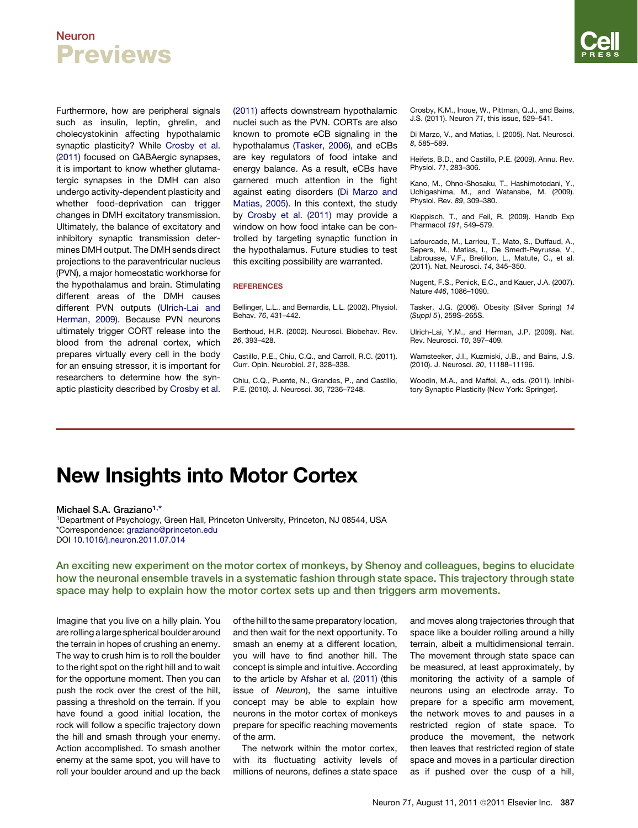# Neuron Previews

Furthermore, how are peripheral signals such as insulin, leptin, ghrelin, and cholecystokinin affecting hypothalamic synaptic plasticity? While Crosby et al. (2011) focused on GABAergic synapses, it is important to know whether glutamatergic synapses in the DMH can also undergo activity-dependent plasticity and whether food-deprivation can trigger changes in DMH excitatory transmission. Ultimately, the balance of excitatory and inhibitory synaptic transmission determines DMH output. The DMH sends direct projections to the paraventricular nucleus (PVN), a major homeostatic workhorse for the hypothalamus and brain. Stimulating different areas of the DMH causes different PVN outputs (Ulrich-Lai and Herman, 2009). Because PVN neurons ultimately trigger CORT release into the blood from the adrenal cortex, which prepares virtually every cell in the body for an ensuing stressor, it is important for researchers to determine how the synaptic plasticity described by Crosby et al.

(2011) affects downstream hypothalamic nuclei such as the PVN. CORTs are also known to promote eCB signaling in the hypothalamus (Tasker, 2006), and eCBs are key regulators of food intake and energy balance. As a result, eCBs have garnered much attention in the fight against eating disorders (Di Marzo and Matias, 2005). In this context, the study by Crosby et al. (2011) may provide a window on how food intake can be controlled by targeting synaptic function in the hypothalamus. Future studies to test this exciting possibility are warranted.

### **REFERENCES**

Bellinger, L.L., and Bernardis, L.L. (2002). Physiol. Behav. *76*, 431–442.

Berthoud, H.R. (2002). Neurosci. Biobehav. Rev. *26*, 393–428.

Castillo, P.E., Chiu, C.Q., and Carroll, R.C. (2011). Curr. Opin. Neurobiol. *21*, 328–338.

Chiu, C.Q., Puente, N., Grandes, P., and Castillo, P.E. (2010). J. Neurosci. *30*, 7236–7248.

Crosby, K.M., Inoue, W., Pittman, Q.J., and Bains, J.S. (2011). Neuron *71*, this issue, 529–541.

Di Marzo, V., and Matias, I. (2005). Nat. Neurosci. *8*, 585–589.

Heifets, B.D., and Castillo, P.E. (2009). Annu. Rev. Physiol. *71*, 283–306.

Kano, M., Ohno-Shosaku, T., Hashimotodani, Y., Uchigashima, M., and Watanabe, M. (2009). Physiol. Rev. *89*, 309–380.

Kleppisch, T., and Feil, R. (2009). Handb Exp Pharmacol *191*, 549–579.

Lafourcade, M., Larrieu, T., Mato, S., Duffaud, A., Sepers, M., Matias, I., De Smedt-Peyrusse, V., Labrousse, V.F., Bretillon, L., Matute, C., et al. (2011). Nat. Neurosci. *14*, 345–350.

Nugent, F.S., Penick, E.C., and Kauer, J.A. (2007). Nature *446*, 1086–1090.

Tasker, J.G. (2006). Obesity (Silver Spring) *14* (*Suppl 5* ), 259S–265S.

Ulrich-Lai, Y.M., and Herman, J.P. (2009). Nat. Rev. Neurosci. *10*, 397–409.

Wamsteeker, J.I., Kuzmiski, J.B., and Bains, J.S. (2010). J. Neurosci. *30*, 11188–11196.

Woodin, M.A., and Maffei, A., eds. (2011). Inhibitory Synaptic Plasticity (New York: Springer).

# New Insights into Motor Cortex

Michael S.A. Graziano<sup>1,\*</sup>

1Department of Psychology, Green Hall, Princeton University, Princeton, NJ 08544, USA \*Correspondence: [graziano@princeton.edu](mailto:graziano@princeton.edu) DOI [10.1016/j.neuron.2011.07.014](http://dx.doi.org/10.1016/j.neuron.2011.07.014)

An exciting new experiment on the motor cortex of monkeys, by Shenoy and colleagues, begins to elucidate how the neuronal ensemble travels in a systematic fashion through state space. This trajectory through state space may help to explain how the motor cortex sets up and then triggers arm movements.

Imagine that you live on a hilly plain. You are rolling a large spherical boulder around the terrain in hopes of crushing an enemy. The way to crush him is to roll the boulder to the right spot on the right hill and to wait for the opportune moment. Then you can push the rock over the crest of the hill, passing a threshold on the terrain. If you have found a good initial location, the rock will follow a specific trajectory down the hill and smash through your enemy. Action accomplished. To smash another enemy at the same spot, you will have to roll your boulder around and up the back

of the hill to the same preparatory location, and then wait for the next opportunity. To smash an enemy at a different location, you will have to find another hill. The concept is simple and intuitive. According to the article by [Afshar et al. \(2011\)](#page-1-0) (this issue of *Neuron*), the same intuitive concept may be able to explain how neurons in the motor cortex of monkeys prepare for specific reaching movements of the arm.

The network within the motor cortex, with its fluctuating activity levels of millions of neurons, defines a state space and moves along trajectories through that space like a boulder rolling around a hilly terrain, albeit a multidimensional terrain. The movement through state space can be measured, at least approximately, by monitoring the activity of a sample of neurons using an electrode array. To prepare for a specific arm movement, the network moves to and pauses in a restricted region of state space. To produce the movement, the network then leaves that restricted region of state space and moves in a particular direction as if pushed over the cusp of a hill,